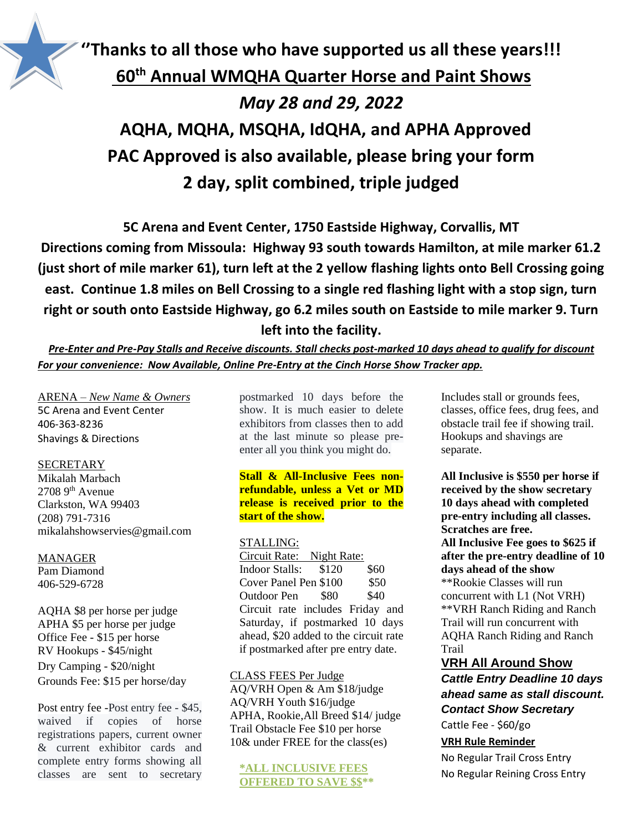

# **''Thanks to all those who have supported us all these years!!! 60th Annual WMQHA Quarter Horse and Paint Shows** *May 28 and 29, 2022* **AQHA, MQHA, MSQHA, IdQHA, and APHA Approved PAC Approved is also available, please bring your form 2 day, split combined, triple judged**

**5C Arena and Event Center, 1750 Eastside Highway, Corvallis, MT Directions coming from Missoula: Highway 93 south towards Hamilton, at mile marker 61.2 (just short of mile marker 61), turn left at the 2 yellow flashing lights onto Bell Crossing going east. Continue 1.8 miles on Bell Crossing to a single red flashing light with a stop sign, turn right or south onto Eastside Highway, go 6.2 miles south on Eastside to mile marker 9. Turn left into the facility.**

*Pre-Enter and Pre-Pay Stalls and Receive discounts. Stall checks post-marked 10 days ahead to qualify for discount For your convenience: Now Available, Online Pre-Entry at the Cinch Horse Show Tracker app.*

ARENA – *New Name & Owners* 5C Arena and Event Center 406-363-8236 Shavings & Directions

#### SECRETARY

Mikalah Marbach  $2708$  9<sup>th</sup> Avenue Clarkston, WA 99403 (208) 791-7316 mikalahshowservies@gmail.com

MANAGER Pam Diamond

406-529-6728

AQHA \$8 per horse per judge APHA \$5 per horse per judge Office Fee - \$15 per horse RV Hookups - \$45/night Dry Camping - \$20/night Grounds Fee: \$15 per horse/day

Post entry fee -Post entry fee - \$45, waived if copies of horse registrations papers, current owner & current exhibitor cards and complete entry forms showing all classes are sent to secretary postmarked 10 days before the show. It is much easier to delete exhibitors from classes then to add at the last minute so please preenter all you think you might do.

# **Stall & All-Inclusive Fees nonrefundable, unless a Vet or MD release is received prior to the start of the show.**

## STALLING:

Circuit Rate: Night Rate: Indoor Stalls: \$120 \$60 Cover Panel Pen \$100 \$50 Outdoor Pen \$80 \$40 Circuit rate includes Friday and Saturday, if postmarked 10 days ahead, \$20 added to the circuit rate if postmarked after pre entry date.

## CLASS FEES Per Judge

AQ/VRH Open & Am \$18/judge AQ/VRH Youth \$16/judge APHA, Rookie,All Breed \$14/ judge Trail Obstacle Fee \$10 per horse 10& under FREE for the class(es)

# **\*ALL INCLUSIVE FEES OFFERED TO SAVE \$\$\*\***

Includes stall or grounds fees, classes, office fees, drug fees, and obstacle trail fee if showing trail. Hookups and shavings are separate.

**All Inclusive is \$550 per horse if received by the show secretary 10 days ahead with completed pre-entry including all classes. Scratches are free. All Inclusive Fee goes to \$625 if after the pre-entry deadline of 10 days ahead of the show**  \*\*Rookie Classes will run concurrent with L1 (Not VRH) \*\*VRH Ranch Riding and Ranch Trail will run concurrent with AQHA Ranch Riding and Ranch Trail

# **VRH All Around Show**

*Cattle Entry Deadline 10 days ahead same as stall discount. Contact Show Secretary* Cattle Fee - \$60/go

# **VRH Rule Reminder**

No Regular Trail Cross Entry No Regular Reining Cross Entry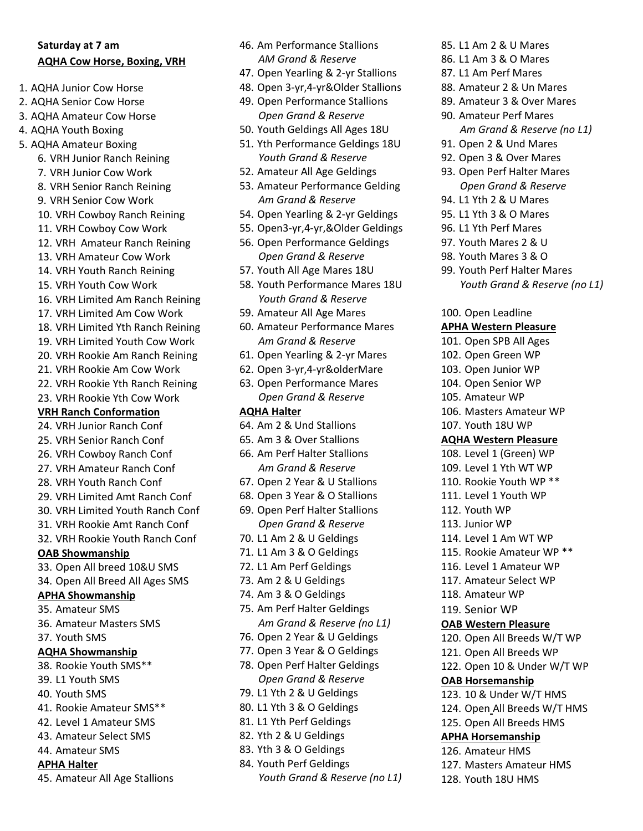# **Saturday at 7 am AQHA Cow Horse, Boxing, VRH**

- 1. AQHA Junior Cow Horse
- 2. AQHA Senior Cow Horse
- 3. AQHA Amateur Cow Horse
- 4. AQHA Youth Boxing
- 5. AQHA Amateur Boxing
	- 6. VRH Junior Ranch Reining
	- 7. VRH Junior Cow Work
	- 8. VRH Senior Ranch Reining
	- 9. VRH Senior Cow Work
	- 10. VRH Cowboy Ranch Reining
	- 11. VRH Cowboy Cow Work
	- 12. VRH Amateur Ranch Reining
	- 13. VRH Amateur Cow Work
	- 14. VRH Youth Ranch Reining
	- 15. VRH Youth Cow Work
	- 16. VRH Limited Am Ranch Reining
	- 17. VRH Limited Am Cow Work
	- 18. VRH Limited Yth Ranch Reining
	- 19. VRH Limited Youth Cow Work
	- 20. VRH Rookie Am Ranch Reining
	- 21. VRH Rookie Am Cow Work
	- 22. VRH Rookie Yth Ranch Reining
	- 23. VRH Rookie Yth Cow Work

#### **VRH Ranch Conformation**

- 24. VRH Junior Ranch Conf
- 25. VRH Senior Ranch Conf
- 26. VRH Cowboy Ranch Conf
- 27. VRH Amateur Ranch Conf
- 28. VRH Youth Ranch Conf
- 29. VRH Limited Amt Ranch Conf
- 30. VRH Limited Youth Ranch Conf
- 31. VRH Rookie Amt Ranch Conf
- 32. VRH Rookie Youth Ranch Conf

#### **OAB Showmanship**

- 33. Open All breed 10&U SMS
- 34. Open All Breed All Ages SMS

# **APHA Showmanship**

- 35. Amateur SMS
- 36. Amateur Masters SMS
- 37. Youth SMS

#### **AQHA Showmanship**

- 38. Rookie Youth SMS\*\*
- 39. L1 Youth SMS
- 40. Youth SMS
- 41. Rookie Amateur SMS\*\*
- 42. Level 1 Amateur SMS
- 43. Amateur Select SMS
- 44. Amateur SMS

# **APHA Halter**

45. Amateur All Age Stallions

- 46. Am Performance Stallions *AM Grand & Reserve*
- 47. Open Yearling & 2-yr Stallions
- 48. Open 3-yr,4-yr&Older Stallions
- 49. Open Performance Stallions *Open Grand & Reserve*
- 50. Youth Geldings All Ages 18U
- 51. Yth Performance Geldings 18U *Youth Grand & Reserve*
- 52. Amateur All Age Geldings
- 53. Amateur Performance Gelding *Am Grand & Reserve*
- 54. Open Yearling & 2-yr Geldings
- 55. Open3-yr,4-yr,&Older Geldings
- 56. Open Performance Geldings *Open Grand & Reserve*
- 57. Youth All Age Mares 18U
- 58. Youth Performance Mares 18U *Youth Grand & Reserve*
- 59. Amateur All Age Mares
- 60. Amateur Performance Mares *Am Grand & Reserve*
- 61. Open Yearling & 2-yr Mares
- 62. Open 3-yr,4-yr&olderMare
- 63. Open Performance Mares *Open Grand & Reserve*

# **AQHA Halter**

- 64. Am 2 & Und Stallions
- 65. Am 3 & Over Stallions
- 66. Am Perf Halter Stallions *Am Grand & Reserve*
- 67. Open 2 Year & U Stallions
- 68. Open 3 Year & O Stallions
- 69. Open Perf Halter Stallions *Open Grand & Reserve*
- 70. L1 Am 2 & U Geldings
- 71. L1 Am 3 & O Geldings
- 72. L1 Am Perf Geldings
- 73. Am 2 & U Geldings
- 74. Am 3 & O Geldings
- 75. Am Perf Halter Geldings *Am Grand & Reserve (no L1)*
- 76. Open 2 Year & U Geldings
- 77. Open 3 Year & O Geldings
- 78. Open Perf Halter Geldings *Open Grand & Reserve*
- 79. L1 Yth 2 & U Geldings
- 80. L1 Yth 3 & O Geldings
- 81. L1 Yth Perf Geldings
- 82. Yth 2 & U Geldings
- 83. Yth 3 & O Geldings
- 84. Youth Perf Geldings
	- *Youth Grand & Reserve (no L1)*
- 85. L1 Am 2 & U Mares
- 86. L1 Am 3 & O Mares
- 87. L1 Am Perf Mares
- 88. Amateur 2 & Un Mares
- 89. Amateur 3 & Over Mares 90. Amateur Perf Mares *Am Grand & Reserve (no L1)*
- 91. Open 2 & Und Mares
- 92. Open 3 & Over Mares
- 93. Open Perf Halter Mares *Open Grand & Reserve*

*Youth Grand & Reserve (no L1)*

94. L1 Yth 2 & U Mares 95. L1 Yth 3 & O Mares 96. L1 Yth Perf Mares 97. Youth Mares 2 & U 98. Youth Mares 3 & O 99. Youth Perf Halter Mares

100. Open Leadline **APHA Western Pleasure** 101. Open SPB All Ages 102. Open Green WP 103. Open Junior WP 104. Open Senior WP 105. Amateur WP

106. Masters Amateur WP

107. Youth 18U WP **AQHA Western Pleasure** 108. Level 1 (Green) WP 109. Level 1 Yth WT WP 110. Rookie Youth WP \*\* 111. Level 1 Youth WP

112. Youth WP 113. Junior WP

114. Level 1 Am WT WP 115. Rookie Amateur WP \*\* 116. Level 1 Amateur WP 117. Amateur Select WP 118. Amateur WP 119. Senior WP

**OAB Western Pleasure**

**OAB Horsemanship**

120. Open All Breeds W/T WP 121. Open All Breeds WP 122. Open 10 & Under W/T WP

123. 10 & Under W/T HMS 124. Open All Breeds W/T HMS 125. Open All Breeds HMS **APHA Horsemanship** 126. Amateur HMS

127. Masters Amateur HMS

128. Youth 18U HMS